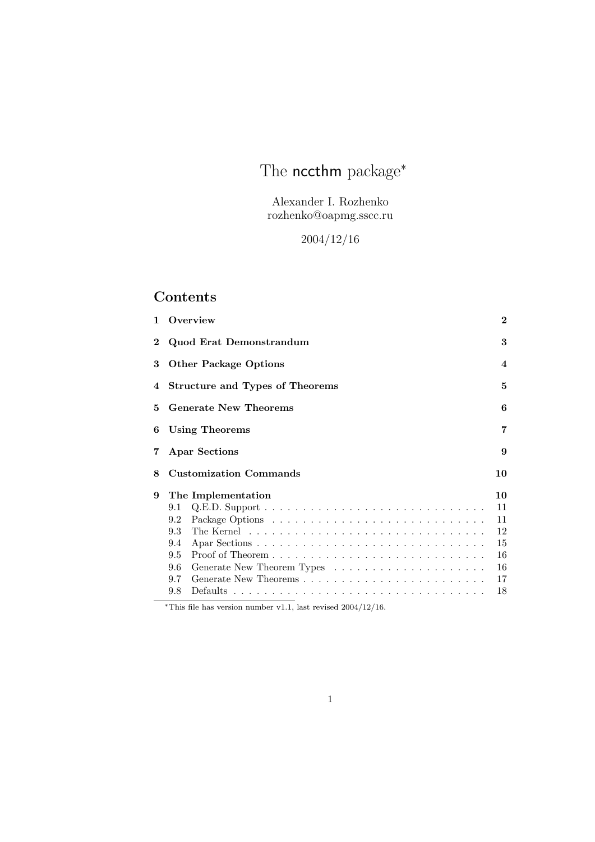# The **nccthm** package<sup>\*</sup>

Alexander I. Rozhenko rozhenko@oapmg.sscc.ru

2004/12/16

# Contents

| 1        | Overview                                    | $\bf{2}$ |  |  |
|----------|---------------------------------------------|----------|--|--|
| $\bf{2}$ | Quod Erat Demonstrandum                     |          |  |  |
| 3        | <b>Other Package Options</b>                |          |  |  |
| 4        | <b>Structure and Types of Theorems</b><br>5 |          |  |  |
| 5        | <b>Generate New Theorems</b><br>6           |          |  |  |
| 6        | 7<br>Using Theorems                         |          |  |  |
| 7        | <b>Apar Sections</b><br>9                   |          |  |  |
| 8        | <b>Customization Commands</b>               | 10       |  |  |
| 9        | The Implementation                          | 10       |  |  |
|          | 9.1                                         | 11       |  |  |
|          | 9.2                                         | 11       |  |  |
|          | 9.3                                         | 12       |  |  |
|          |                                             |          |  |  |
|          | 9.4                                         | 15       |  |  |
|          | 9.5                                         | 16       |  |  |
|          | 9.6                                         | 16       |  |  |
|          | 9.7                                         | 17       |  |  |

\*This file has version number v1.1, last revised  $2004/12/16$ .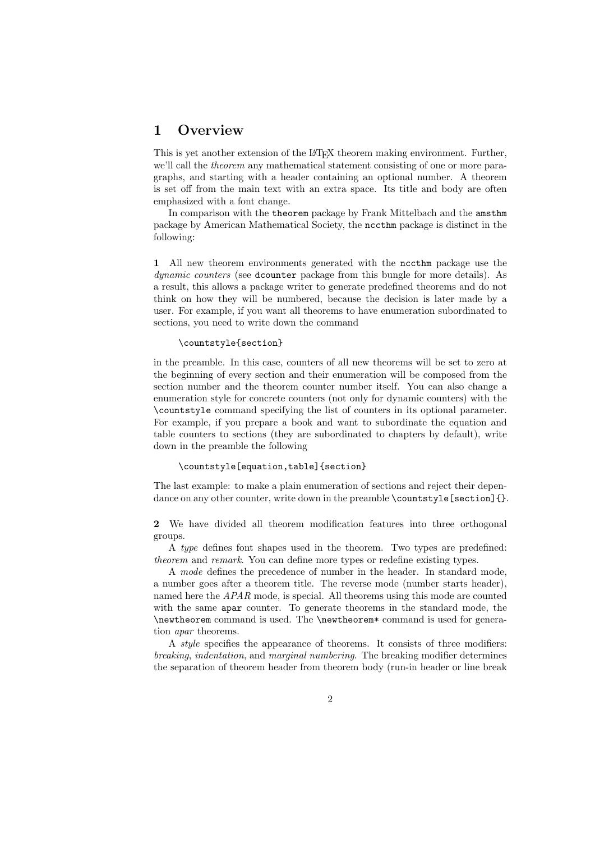# 1 Overview

This is yet another extension of the L<sup>AT</sup>EX theorem making environment. Further, we'll call the *theorem* any mathematical statement consisting of one or more paragraphs, and starting with a header containing an optional number. A theorem is set off from the main text with an extra space. Its title and body are often emphasized with a font change.

In comparison with the theorem package by Frank Mittelbach and the amsthm package by American Mathematical Society, the nccthm package is distinct in the following:

1 All new theorem environments generated with the nccthm package use the dynamic counters (see dcounter package from this bungle for more details). As a result, this allows a package writer to generate predefined theorems and do not think on how they will be numbered, because the decision is later made by a user. For example, if you want all theorems to have enumeration subordinated to sections, you need to write down the command

#### \countstyle{section}

in the preamble. In this case, counters of all new theorems will be set to zero at the beginning of every section and their enumeration will be composed from the section number and the theorem counter number itself. You can also change a enumeration style for concrete counters (not only for dynamic counters) with the \countstyle command specifying the list of counters in its optional parameter. For example, if you prepare a book and want to subordinate the equation and table counters to sections (they are subordinated to chapters by default), write down in the preamble the following

#### \countstyle[equation,table]{section}

The last example: to make a plain enumeration of sections and reject their dependance on any other counter, write down in the preamble \countstyle[section]{}.

2 We have divided all theorem modification features into three orthogonal groups.

A type defines font shapes used in the theorem. Two types are predefined: theorem and remark. You can define more types or redefine existing types.

A mode defines the precedence of number in the header. In standard mode, a number goes after a theorem title. The reverse mode (number starts header), named here the APAR mode, is special. All theorems using this mode are counted with the same apar counter. To generate theorems in the standard mode, the \newtheorem command is used. The \newtheorem\* command is used for generation apar theorems.

A style specifies the appearance of theorems. It consists of three modifiers: breaking, indentation, and marginal numbering. The breaking modifier determines the separation of theorem header from theorem body (run-in header or line break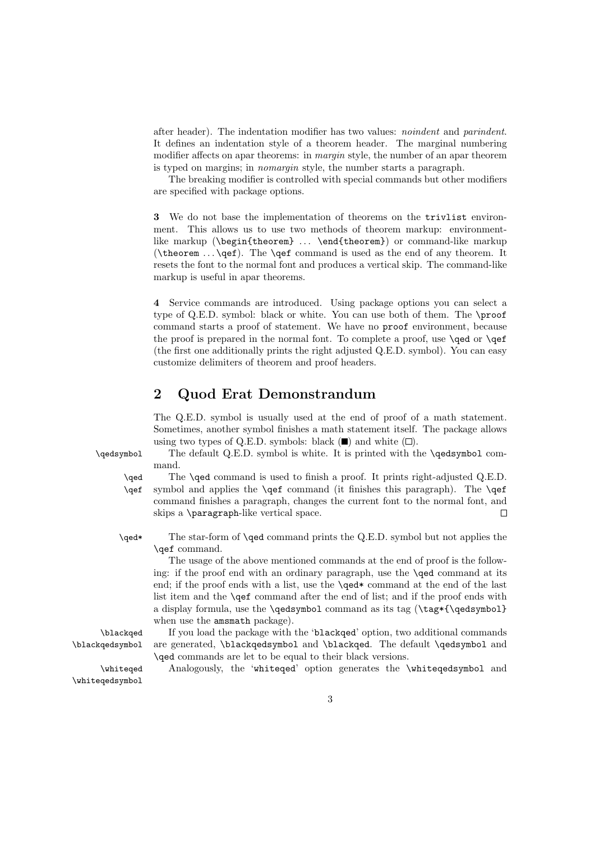after header). The indentation modifier has two values: noindent and parindent. It defines an indentation style of a theorem header. The marginal numbering modifier affects on apar theorems: in *margin* style, the number of an apar theorem is typed on margins; in nomargin style, the number starts a paragraph.

The breaking modifier is controlled with special commands but other modifiers are specified with package options.

3 We do not base the implementation of theorems on the trivlist environment. This allows us to use two methods of theorem markup: environmentlike markup (\begin{theorem} ... \end{theorem}) or command-like markup (\theorem  $\ldots$  \qef). The \qef command is used as the end of any theorem. It resets the font to the normal font and produces a vertical skip. The command-like markup is useful in apar theorems.

4 Service commands are introduced. Using package options you can select a type of Q.E.D. symbol: black or white. You can use both of them. The \proof command starts a proof of statement. We have no proof environment, because the proof is prepared in the normal font. To complete a proof, use \qed or \qef (the first one additionally prints the right adjusted Q.E.D. symbol). You can easy customize delimiters of theorem and proof headers.

# 2 Quod Erat Demonstrandum

The Q.E.D. symbol is usually used at the end of proof of a math statement. Sometimes, another symbol finishes a math statement itself. The package allows using two types of Q.E.D. symbols: black  $(\blacksquare)$  and white  $(\square)$ .

\qedsymbol The default Q.E.D. symbol is white. It is printed with the \qedsymbol command.

\qed The \qed command is used to finish a proof. It prints right-adjusted Q.E.D. \qef symbol and applies the \qef command (it finishes this paragraph). The \qef command finishes a paragraph, changes the current font to the normal font, and skips a \paragraph-like vertical space. П

\qed\* The star-form of \qed command prints the Q.E.D. symbol but not applies the \qef command.

The usage of the above mentioned commands at the end of proof is the following: if the proof end with an ordinary paragraph, use the \qed command at its end; if the proof ends with a list, use the \qed\* command at the end of the last list item and the \qef command after the end of list; and if the proof ends with a display formula, use the \qedsymbol command as its tag (\tag\*{\qedsymbol}) when use the amsmath package).

\blackqed If you load the package with the 'blackqed' option, two additional commands \blackqedsymbol are generated, \blackqedsymbol and \blackqed. The default \qedsymbol and \qed commands are let to be equal to their black versions.

\whiteqed Analogously, the 'whiteqed' option generates the \whiteqedsymbol and

\whiteqedsymbol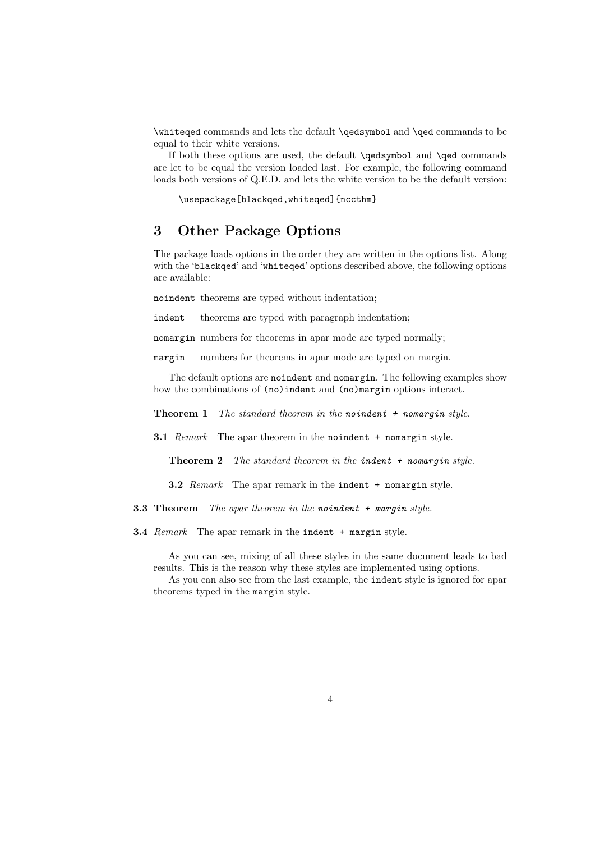\whiteqed commands and lets the default \qedsymbol and \qed commands to be equal to their white versions.

If both these options are used, the default \qedsymbol and \qed commands are let to be equal the version loaded last. For example, the following command loads both versions of Q.E.D. and lets the white version to be the default version:

\usepackage[blackqed,whiteqed]{nccthm}

# 3 Other Package Options

The package loads options in the order they are written in the options list. Along with the 'blackqed' and 'whiteqed' options described above, the following options are available:

noindent theorems are typed without indentation;

indent theorems are typed with paragraph indentation;

nomargin numbers for theorems in apar mode are typed normally;

margin numbers for theorems in apar mode are typed on margin.

The default options are noindent and nomargin. The following examples show how the combinations of (no)indent and (no)margin options interact.

**Theorem 1** The standard theorem in the noindent  $+$  nomargin style.

**3.1** Remark The apar theorem in the noindent + nomargin style.

**Theorem 2** The standard theorem in the indent  $+$  nomargin style.

**3.2** Remark The apar remark in the indent + nomargin style.

**3.3 Theorem** The apar theorem in the noindent  $+$  margin style.

**3.4** Remark The apar remark in the indent + margin style.

As you can see, mixing of all these styles in the same document leads to bad results. This is the reason why these styles are implemented using options.

As you can also see from the last example, the indent style is ignored for apar theorems typed in the margin style.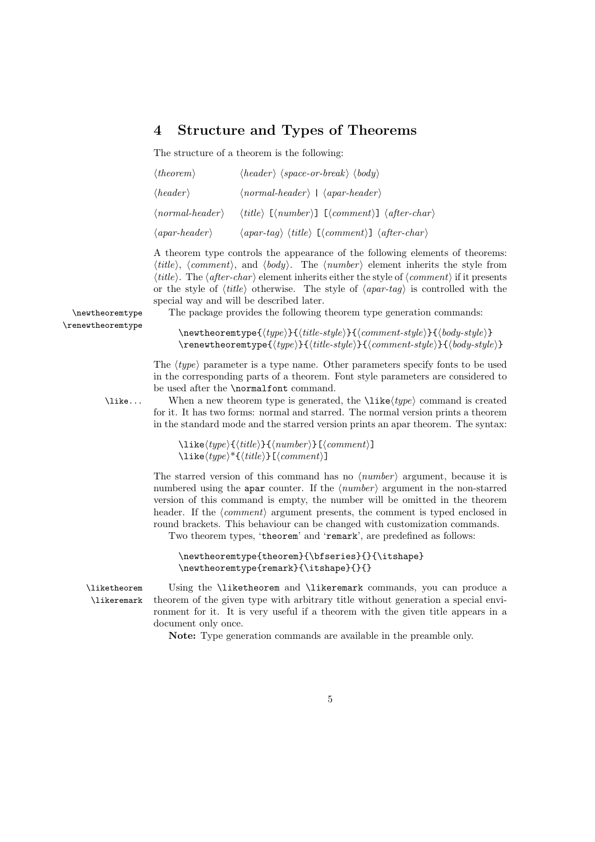# 4 Structure and Types of Theorems

The structure of a theorem is the following:

| $\langle theorem \rangle$              | $\langle header \rangle \langle space-or-break \rangle \langle body \rangle$                                   |
|----------------------------------------|----------------------------------------------------------------------------------------------------------------|
| $\langle header \rangle$               | $\langle normal\text{-}header \rangle$   $\langle apart\text{-}header \rangle$                                 |
| $\langle normal-header \rangle$        | $\langle title \rangle$ [ $\langle number \rangle$ ] [ $\langle comment \rangle$ ] $\langle afterchar \rangle$ |
| $\langle$ <i>apar-header</i> $\rangle$ | $\langle apar-tag \rangle \langle title \rangle$ [ $\langle comment \rangle$ ] $\langle after-char \rangle$    |

A theorem type controls the appearance of the following elements of theorems:  $\langle title \rangle$ ,  $\langle comment \rangle$ , and  $\langle body \rangle$ . The  $\langle number \rangle$  element inherits the style from  $\langle title \rangle$ . The  $\langle afterchar \rangle$  element inherits either the style of  $\langle comment \rangle$  if it presents or the style of  $\langle title \rangle$  otherwise. The style of  $\langle apart-tag \rangle$  is controlled with the special way and will be described later.

\renewtheoremtype

\newtheoremtype The package provides the following theorem type generation commands:

 $\newtheoremtype{\langle type\rangle}{\langle title-style\rangle}{\langle comment-style\rangle}{\delta}$  $\text{temperature}(type)\}$ { $\tilde{\tilde{\theta}}$ }{ $\tilde{\theta}$ }{ $\tilde{\theta}$ }}{\comment-style}}{\body-style}}

The  $\langle type \rangle$  parameter is a type name. Other parameters specify fonts to be used in the corresponding parts of a theorem. Font style parameters are considered to be used after the \normalfont command.

 $\text{like...}$  When a new theorem type is generated, the  $\text{like}(type)$  command is created for it. It has two forms: normal and starred. The normal version prints a theorem in the standard mode and the starred version prints an apar theorem. The syntax:

> $\langle type\rangle{\{\it title}\} {\{\*number\}\}[\langle comment\rangle]*$  $\langle type \rangle^*{\langle title \rangle}[\langle comment \rangle]$

The starred version of this command has no  $\langle number \rangle$  argument, because it is numbered using the apar counter. If the  $\langle number \rangle$  argument in the non-starred version of this command is empty, the number will be omitted in the theorem header. If the  $\langle comment \rangle$  argument presents, the comment is typed enclosed in round brackets. This behaviour can be changed with customization commands. Two theorem types, 'theorem' and 'remark', are predefined as follows:

```
\newtheoremtype{theorem}{\bfseries}{}{\itshape}
\newtheoremtype{remark}{\itshape}{}{}
```
\liketheorem Using the \liketheorem and \likeremark commands, you can produce a \likeremark theorem of the given type with arbitrary title without generation a special environment for it. It is very useful if a theorem with the given title appears in a document only once.

Note: Type generation commands are available in the preamble only.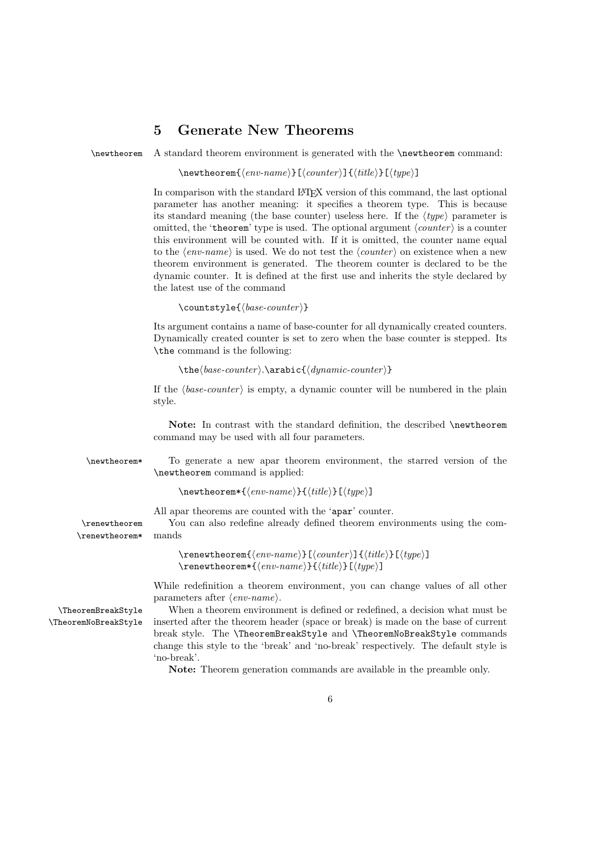# 5 Generate New Theorems

\newtheorem A standard theorem environment is generated with the \newtheorem command:

 $\text{hewtheorem}\{\langle env\text{-}name \rangle\}[\langle counter \rangle]\{\langle title \rangle\}[\langle type \rangle]$ 

In comparison with the standard LATEX version of this command, the last optional parameter has another meaning: it specifies a theorem type. This is because its standard meaning (the base counter) useless here. If the  $\langle \text{true} \rangle$  parameter is omitted, the 'theorem' type is used. The optional argument  $\langle counter \rangle$  is a counter this environment will be counted with. If it is omitted, the counter name equal to the  $\langle env\text{-}name \rangle$  is used. We do not test the  $\langle counter \rangle$  on existence when a new theorem environment is generated. The theorem counter is declared to be the dynamic counter. It is defined at the first use and inherits the style declared by the latest use of the command

```
\text{countstyle}{\{base-counter\}}
```
Its argument contains a name of base-counter for all dynamically created counters. Dynamically created counter is set to zero when the base counter is stepped. Its \the command is the following:

 $\theta\$ 

If the  $\langle base-counter \rangle$  is empty, a dynamic counter will be numbered in the plain style.

Note: In contrast with the standard definition, the described \newtheorem command may be used with all four parameters.

\newtheorem\* To generate a new apar theorem environment, the starred version of the \newtheorem command is applied:

 $\newph{env-name}{\it{title}}[{\it{true}}]$ 

All apar theorems are counted with the 'apar' counter.

\renewtheorem You can also redefine already defined theorem environments using the com- \renewtheorem\* mands

> $\text{temperature}[\{conv\}-name\}[\{counter\}] {\{title\}}[\{type\}]$  $\text{temperature}(env-name)$ }{(title)}[(type)]

While redefinition a theorem environment, you can change values of all other parameters after  $\langle env\text{-}name\rangle$ .

\TheoremBreakStyle When a theorem environment is defined or redefined, a decision what must be \TheoremNoBreakStyle inserted after the theorem header (space or break) is made on the base of current break style. The \TheoremBreakStyle and \TheoremNoBreakStyle commands change this style to the 'break' and 'no-break' respectively. The default style is 'no-break'.

Note: Theorem generation commands are available in the preamble only.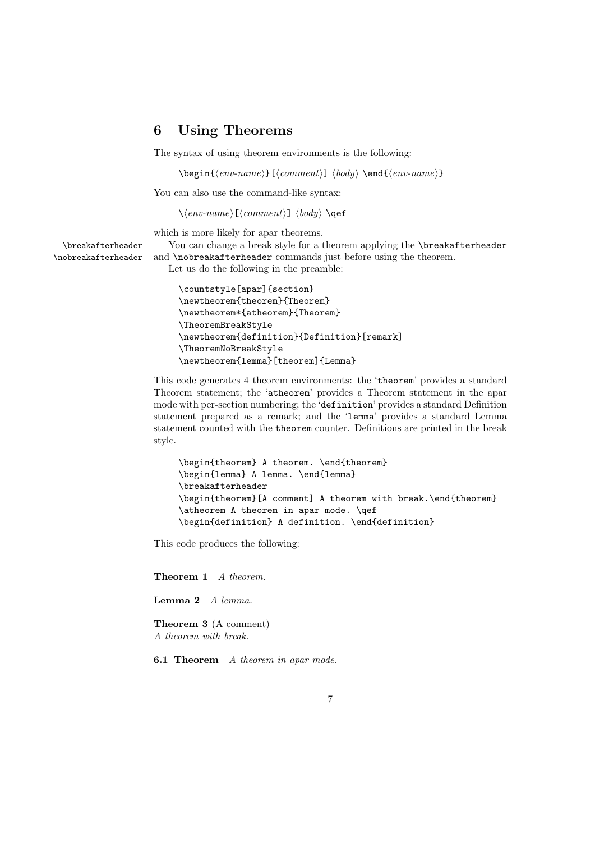# 6 Using Theorems

The syntax of using theorem environments is the following:

 $\begin{scriptsize}[\mathrm{comm}\mathrm{mod}] \end{scriptsize}$ 

You can also use the command-like syntax:

 $\setminus \langle \mathit{env-name} \rangle$  [ $\langle \mathit{comment} \rangle$ ]  $\langle \mathit{body} \rangle$   $\setminus$ qef

which is more likely for apar theorems.

\breakafterheader You can change a break style for a theorem applying the \breakafterheader \nobreakafterheader and \nobreakafterheader commands just before using the theorem.

Let us do the following in the preamble:

```
\countstyle[apar]{section}
\newtheorem{theorem}{Theorem}
\newtheorem*{atheorem}{Theorem}
\TheoremBreakStyle
\newtheorem{definition}{Definition}[remark]
\TheoremNoBreakStyle
\newtheorem{lemma}[theorem]{Lemma}
```
This code generates 4 theorem environments: the 'theorem' provides a standard Theorem statement; the 'atheorem' provides a Theorem statement in the apar mode with per-section numbering; the 'definition' provides a standard Definition statement prepared as a remark; and the 'lemma' provides a standard Lemma statement counted with the theorem counter. Definitions are printed in the break style.

```
\begin{theorem} A theorem. \end{theorem}
\begin{lemma} A lemma. \end{lemma}
\breakafterheader
\begin{theorem}[A comment] A theorem with break.\end{theorem}
\atheorem A theorem in apar mode. \qef
\begin{definition} A definition. \end{definition}
```
This code produces the following:

Theorem 1 A theorem.

Lemma 2 A lemma.

Theorem 3 (A comment) A theorem with break.

**6.1 Theorem** A theorem in apar mode.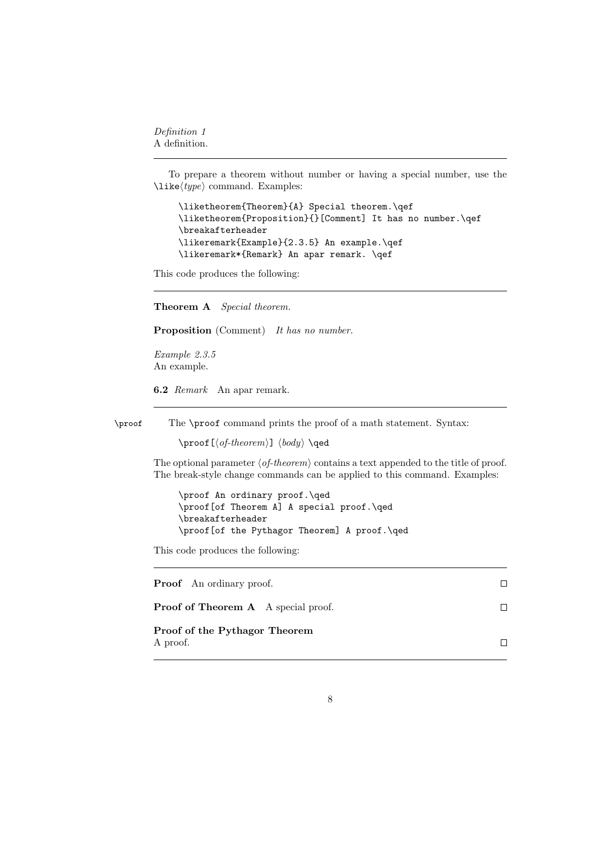Definition 1 A definition.

To prepare a theorem without number or having a special number, use the  $\langle type \rangle$  command. Examples:

\liketheorem{Theorem}{A} Special theorem.\qef \liketheorem{Proposition}{}[Comment] It has no number.\qef \breakafterheader \likeremark{Example}{2.3.5} An example.\qef \likeremark\*{Remark} An apar remark. \qef

This code produces the following:

Theorem A Special theorem.

Proposition (Comment) It has no number.

Example 2.3.5 An example.

6.2 Remark An apar remark.

\proof The \proof command prints the proof of a math statement. Syntax:

 $\prod[\langle of-theorem \rangle] \langle body \rangle \qquad \qquad$ 

The optional parameter  $\langle$  of-theorem<sub>i</sub> contains a text appended to the title of proof. The break-style change commands can be applied to this command. Examples:

\proof An ordinary proof.\qed \proof[of Theorem A] A special proof.\qed \breakafterheader \proof[of the Pythagor Theorem] A proof.\qed

This code produces the following:

| <b>Proof</b> An ordinary proof.            |  |
|--------------------------------------------|--|
| <b>Proof of Theorem A</b> A special proof. |  |
| Proof of the Pythagor Theorem<br>A proof.  |  |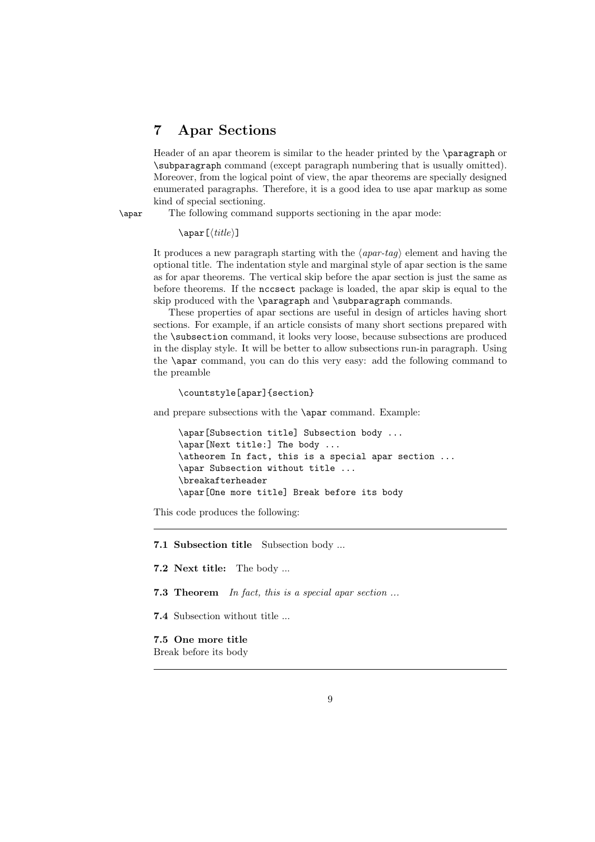# 7 Apar Sections

Header of an apar theorem is similar to the header printed by the \paragraph or \subparagraph command (except paragraph numbering that is usually omitted). Moreover, from the logical point of view, the apar theorems are specially designed enumerated paragraphs. Therefore, it is a good idea to use apar markup as some kind of special sectioning.

\apar The following command supports sectioning in the apar mode:

```
\langle\[<i>title</i>]\rangle
```
It produces a new paragraph starting with the  $\langle a \text{par-tag} \rangle$  element and having the optional title. The indentation style and marginal style of apar section is the same as for apar theorems. The vertical skip before the apar section is just the same as before theorems. If the nccsect package is loaded, the apar skip is equal to the skip produced with the \paragraph and \subparagraph commands.

These properties of apar sections are useful in design of articles having short sections. For example, if an article consists of many short sections prepared with the \subsection command, it looks very loose, because subsections are produced in the display style. It will be better to allow subsections run-in paragraph. Using the \apar command, you can do this very easy: add the following command to the preamble

#### \countstyle[apar]{section}

and prepare subsections with the \apar command. Example:

```
\apar[Subsection title] Subsection body ...
\apar[Next title:] The body ...
\atheorem In fact, this is a special apar section ...
\apar Subsection without title ...
\breakafterheader
\apar[One more title] Break before its body
```
This code produces the following:

7.1 Subsection title Subsection body ...

7.2 Next title: The body ...

7.3 Theorem In fact, this is a special apar section ...

7.4 Subsection without title ...

7.5 One more title Break before its body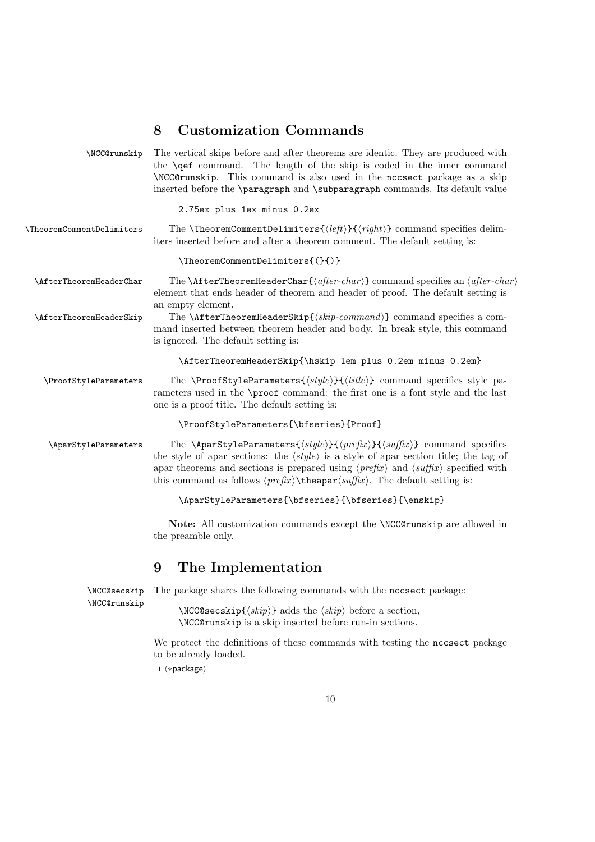# 8 Customization Commands

| \NCC@runskip                 | The vertical skips before and after theorems are identic. They are produced with<br>the <b>\qef</b> command. The length of the skip is coded in the inner command<br>\NCC@runskip. This command is also used in the nccsect package as a skip<br>inserted before the <b>\paragraph</b> and <b>\subparagraph</b> commands. Its default value                                                                                                                              |
|------------------------------|--------------------------------------------------------------------------------------------------------------------------------------------------------------------------------------------------------------------------------------------------------------------------------------------------------------------------------------------------------------------------------------------------------------------------------------------------------------------------|
|                              | 2.75ex plus 1ex minus 0.2ex                                                                                                                                                                                                                                                                                                                                                                                                                                              |
| \TheoremCommentDelimiters    | The <b>\TheoremCommentDelimiters{</b> $\langle left \rangle$ }{ $\langle right \rangle$ } command specifies delim-<br>iters inserted before and after a theorem comment. The default setting is:                                                                                                                                                                                                                                                                         |
|                              | \TheoremCommentDelimiters{(}{)}                                                                                                                                                                                                                                                                                                                                                                                                                                          |
| \AfterTheoremHeaderChar      | The <b>\AfterTheoremHeaderChar{</b> $\langle$ <i>after-char</i> } command specifies an $\langle$ <i>after-char</i> }<br>element that ends header of theorem and header of proof. The default setting is<br>an empty element.                                                                                                                                                                                                                                             |
| \AfterTheoremHeaderSkip      | The <b>\AfterTheoremHeaderSkip{</b> $\langle skip\text{-}command \rangle$ command specifies a com-<br>mand inserted between theorem header and body. In break style, this command<br>is ignored. The default setting is:                                                                                                                                                                                                                                                 |
|                              | \AfterTheoremHeaderSkip{\hskip 1em plus 0.2em minus 0.2em}                                                                                                                                                                                                                                                                                                                                                                                                               |
| \ProofStyleParameters        | The \ProofStyleParameters{ $\{style\}$ }{ $\{title\}$ } command specifies style pa-<br>rameters used in the \proof command: the first one is a font style and the last<br>one is a proof title. The default setting is:                                                                                                                                                                                                                                                  |
|                              | \ProofStyleParameters{\bfseries}{Proof}                                                                                                                                                                                                                                                                                                                                                                                                                                  |
| \AparStyleParameters         | The \AparStyleParameters{ $\langle style\rangle\}$ }{ $\langle prefix\rangle$ }{ $\langle suffix\rangle$ } command specifies<br>the style of apar sections: the $\langle style\rangle$ is a style of apar section title; the tag of<br>apar theorems and sections is prepared using $\langle prefix \rangle$ and $\langle suffix \rangle$ specified with<br>this command as follows $\langle prefix \rangle$ the apar $\langle suffix \rangle$ . The default setting is: |
|                              | \AparStyleParameters{\bfseries}{\bfseries}{\enskip}                                                                                                                                                                                                                                                                                                                                                                                                                      |
|                              | Note: All customization commands except the \NCC@runskip are allowed in<br>the preamble only.                                                                                                                                                                                                                                                                                                                                                                            |
|                              | 9<br>The Implementation                                                                                                                                                                                                                                                                                                                                                                                                                                                  |
| \NCC@secskip<br>\NCC@runskip | The package shares the following commands with the necesect package:                                                                                                                                                                                                                                                                                                                                                                                                     |
|                              | \NCC@secskip{ $\langle skip \rangle$ } adds the $\langle skip \rangle$ before a section,<br>\NCC@runskip is a skip inserted before run-in sections.                                                                                                                                                                                                                                                                                                                      |
|                              | We protect the definitions of these commands with testing the necrect package<br>to be already loaded.<br>$1 \langle *package \rangle$                                                                                                                                                                                                                                                                                                                                   |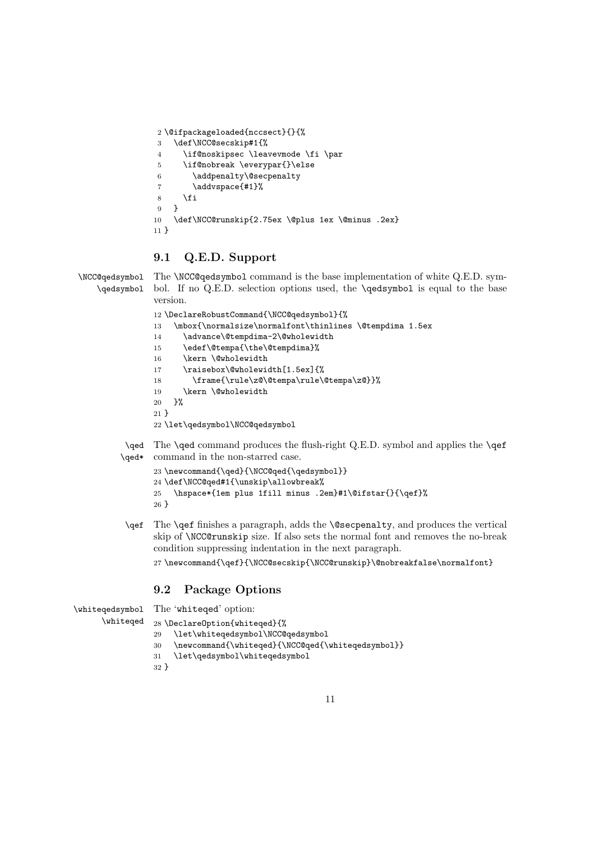```
2 \@ifpackageloaded{nccsect}{}{%
3 \def\NCC@secskip#1{%
4 \if@noskipsec \leavevmode \fi \par
5 \if@nobreak \everypar{}\else
6 \addpenalty\@secpenalty
7 \addvspace{#1}%
8 \fi
9 \quad \lambda10 \def\NCC@runskip{2.75ex \@plus 1ex \@minus .2ex}
11 }
```
### 9.1 Q.E.D. Support

\NCC@qedsymbol The \NCC@qedsymbol command is the base implementation of white Q.E.D. sym-\qedsymbol bol. If no Q.E.D. selection options used, the \qedsymbol is equal to the base version. 12 \DeclareRobustCommand{\NCC@qedsymbol}{% 13 \mbox{\normalsize\normalfont\thinlines \@tempdima 1.5ex 14 \advance\@tempdima-2\@wholewidth 15 \edef\@tempa{\the\@tempdima}% 16 \kern \@wholewidth 17 \raisebox\@wholewidth[1.5ex]{% 18 \frame{\rule\z@\@tempa\rule\@tempa\z@}}% 19 \kern \@wholewidth 20 }% 21 } 22 \let\qedsymbol\NCC@qedsymbol

> \qed The \qed command produces the flush-right Q.E.D. symbol and applies the \qef \qed\* command in the non-starred case.

```
23 \newcommand{\qed}{\NCC@qed{\qedsymbol}}
24 \def\NCC@qed#1{\unskip\allowbreak%
25 \hspace*{1em plus 1fill minus .2em}#1\@ifstar{}{\qef}%
26 }
```
\qef The \qef finishes a paragraph, adds the \@secpenalty, and produces the vertical skip of \NCC@runskip size. If also sets the normal font and removes the no-break condition suppressing indentation in the next paragraph.

27 \newcommand{\qef}{\NCC@secskip{\NCC@runskip}\@nobreakfalse\normalfont}

## 9.2 Package Options

```
\whiteqedsymbol
     \whiteqed
                The 'whiteqed' option:
                28 \DeclareOption{whiteqed}{%
                 29 \let\whiteqedsymbol\NCC@qedsymbol
                 30 \newcommand{\whiteqed}{\NCC@qed{\whiteqedsymbol}}
                 31 \let\qedsymbol\whiteqedsymbol
                 32 }
```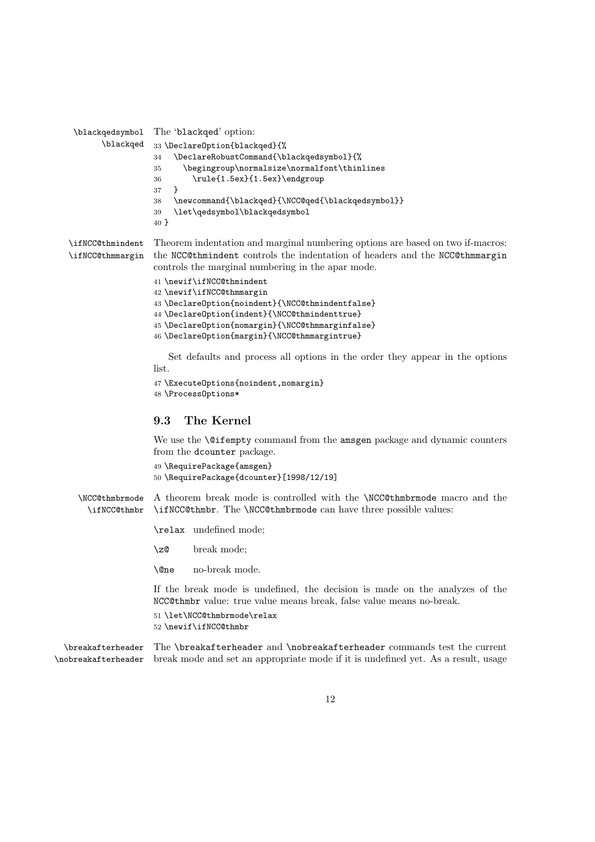```
\blackqedsymbol
The 'blackqed' option:
     \blackqed
                33 \DeclareOption{blackqed}{%
                34 \DeclareRobustCommand{\blackqedsymbol}{%
                35 \begingroup\normalsize\normalfont\thinlines
                36 \rule{1.5ex}{1.5ex}\endgroup
                37 }
                38 \newcommand{\blackqed}{\NCC@qed{\blackqedsymbol}}
                39 \let\qedsymbol\blackqedsymbol
                40 }
```
\ifNCC@thmindent \ifNCC@thmmargin Theorem indentation and marginal numbering options are based on two if-macros: the NCC@thmindent controls the indentation of headers and the NCC@thmmargin controls the marginal numbering in the apar mode.

```
41 \newif\ifNCC@thmindent
42 \newif\ifNCC@thmmargin
43 \DeclareOption{noindent}{\NCC@thmindentfalse}
44 \DeclareOption{indent}{\NCC@thmindenttrue}
45 \DeclareOption{nomargin}{\NCC@thmmarginfalse}
46 \DeclareOption{margin}{\NCC@thmmargintrue}
```
Set defaults and process all options in the order they appear in the options list.

```
47 \ExecuteOptions{noindent,nomargin}
48 \ProcessOptions*
```
#### 9.3 The Kernel

We use the **\@ifempty** command from the amsgen package and dynamic counters from the dcounter package.

```
49 \RequirePackage{amsgen}
50 \RequirePackage{dcounter}[1998/12/19]
```
\NCC@thmbrmode A theorem break mode is controlled with the \NCC@thmbrmode macro and the \ifNCC@thmbr \ifNCC@thmbr. The \NCC@thmbrmode can have three possible values:

\relax undefined mode;

\z@ break mode;

\@ne no-break mode.

If the break mode is undefined, the decision is made on the analyzes of the NCC@thmbr value: true value means break, false value means no-break.

51 \let\NCC@thmbrmode\relax

52 \newif\ifNCC@thmbr

\breakafterheader The \breakafterheader and \nobreakafterheader commands test the current \nobreakafterheader break mode and set an appropriate mode if it is undefined yet. As a result, usage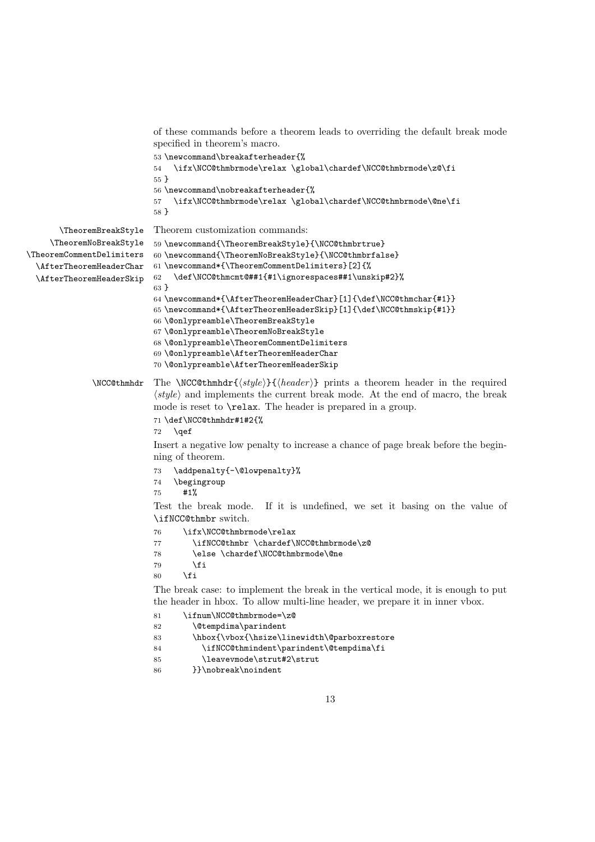```
of these commands before a theorem leads to overriding the default break mode
                           specified in theorem's macro.
                           53 \newcommand\breakafterheader{%
                           54 \ifx\NCC@thmbrmode\relax \global\chardef\NCC@thmbrmode\z@\fi
                           55 }
                           56 \newcommand\nobreakafterheader{%
                           57 \ifx\NCC@thmbrmode\relax \global\chardef\NCC@thmbrmode\@ne\fi
                           58 }
       \TheoremBreakStyle
     \TheoremNoBreakStyle
\TheoremCommentDelimiters
  \AfterTheoremHeaderChar
  \AfterTheoremHeaderSkip
                           Theorem customization commands:
                           59 \newcommand{\TheoremBreakStyle}{\NCC@thmbrtrue}
                           60 \newcommand{\TheoremNoBreakStyle}{\NCC@thmbrfalse}
                           61 \newcommand*{\TheoremCommentDelimiters}[2]{%
                           62 \def\NCC@thmcmt@##1{#1\ignorespaces##1\unskip#2}%
                           63 }
                           64 \newcommand*{\AfterTheoremHeaderChar}[1]{\def\NCC@thmchar{#1}}
                           65 \newcommand*{\AfterTheoremHeaderSkip}[1]{\def\NCC@thmskip{#1}}
                           66 \@onlypreamble\TheoremBreakStyle
                           67 \@onlypreamble\TheoremNoBreakStyle
                           68 \@onlypreamble\TheoremCommentDelimiters
                           69 \@onlypreamble\AfterTheoremHeaderChar
                           70 \@onlypreamble\AfterTheoremHeaderSkip
              \NCC@thmhdr The \NCC@thmhdr{\langle style\rangle}{\langle header\rangle} prints a theorem header in the required
                           \langle style\rangle and implements the current break mode. At the end of macro, the break
                           mode is reset to \relax. The header is prepared in a group.
                           71 \def\NCC@thmhdr#1#2{%
                           72 \qquad \text{?}Insert a negative low penalty to increase a chance of page break before the begin-
                           ning of theorem.
                           73 \addpenalty{-\@lowpenalty}%
                           74 \begingroup
                           75 #1%
                           Test the break mode. If it is undefined, we set it basing on the value of
                           \ifNCC@thmbr switch.
                           76 \ifx\NCC@thmbrmode\relax
                           77 \ifNCC@thmbr \chardef\NCC@thmbrmode\z@
                           78 \else \chardef\NCC@thmbrmode\@ne
                           79 \foralli
                           80 \overrightarrow{fi}The break case: to implement the break in the vertical mode, it is enough to put
                           the header in hbox. To allow multi-line header, we prepare it in inner vbox.
                           81 \ifnum\NCC@thmbrmode=\z@
                           82 \@tempdima\parindent
                           83 \hbox{\vbox{\hsize\linewidth\@parboxrestore
                           84 \ifNCC@thmindent\parindent\@tempdima\fi
                           85 \leavevmode\strut#2\strut
                           86 }}\nobreak\noindent
```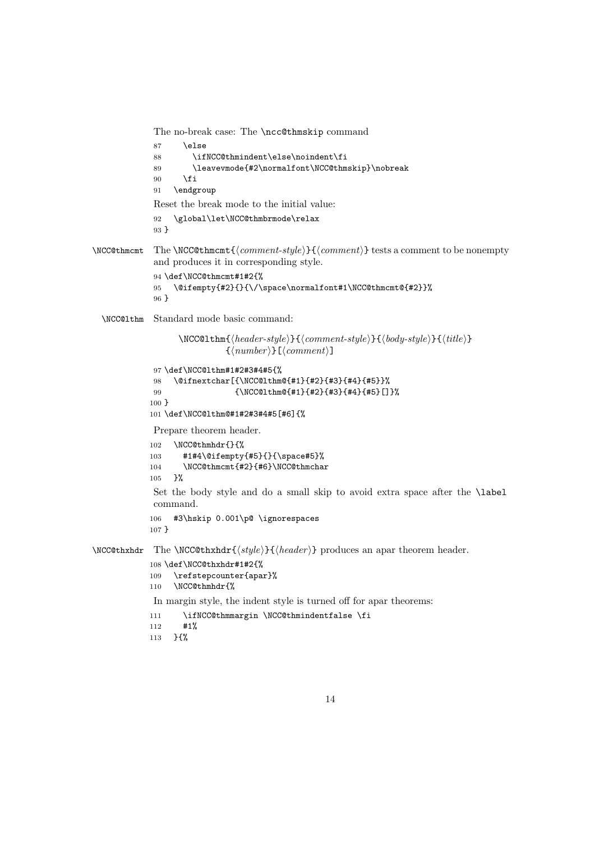```
The no-break case: The \ncc@thmskip command
             87 \else
             88 \ifNCC@thmindent\else\noindent\fi
             89 \leavevmode{#2\normalfont\NCC@thmskip}\nobreak
             90 \overline{\text{f}i}91 \endgroup
             Reset the break mode to the initial value:
             92 \global\let\NCC@thmbrmode\relax
             93 }
\NCC@thmcmt The \NCC@thmcmt{\{comment-style\}}{\{comment\} tests a comment to be nonempty
             and produces it in corresponding style.
             94 \def\NCC@thmcmt#1#2{%
             95 \@ifempty{#2}{}{\/\space\normalfont#1\NCC@thmcmt@{#2}}%
             96 }
  \NCC@lthm Standard mode basic command:
                   \NCC@lthm{\langle header-style\rangle}{\langle comment-style\rangle}{\langle body-style\rangle}{\{title\rangle}\}\{\langle number \rangle\}[\langle comment \rangle]
             97 \def\NCC@lthm#1#2#3#4#5{%
             98 \@ifnextchar[{\NCC@lthm@{#1}{#2}{#3}{#4}{#5}}%
             99 {\NCC@lthm@{#1}{#2}{#3}{#4}{#5}[]}%
            100 }
            101 \def\NCC@lthm@#1#2#3#4#5[#6]{%
             Prepare theorem header.
            102 \NCC@thmhdr{}{%
            103 #1#4\@ifempty{#5}{}{\space#5}%
            104 \NCC@thmcmt{#2}{#6}\NCC@thmchar
            105 }%
             Set the body style and do a small skip to avoid extra space after the \label
             command.
            106 #3\hskip 0.001\p@ \ignorespaces
            107 }
\NCC@thxhat The \NCC@thxhat{\otimes}{} is \{header\} produces an apar theorem header.
            108 \def\NCC@thxhdr#1#2{%
            109 \refstepcounter{apar}%
            110 \NCC@thmhdr{%
             In margin style, the indent style is turned off for apar theorems:
            111 \ifNCC@thmmargin \NCC@thmindentfalse \fi
            112 #1%
            113 }{%
```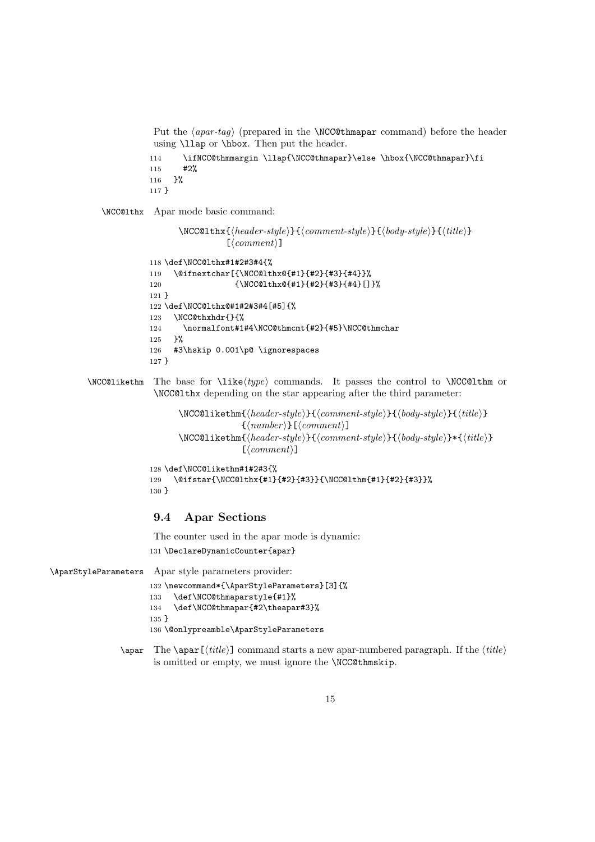Put the  $\langle apar-taq \rangle$  (prepared in the **\NCC@thmapar** command) before the header using \llap or \hbox. Then put the header.

```
114 \ifNCC@thmmargin \llap{\NCC@thmapar}\else \hbox{\NCC@thmapar}\fi
115 #2%
116 }%
117 }
```
\NCC@lthx Apar mode basic command:

```
\NCC@lthx{\hat{header-style}}{\{\langle comment-style\rangle}\{\langle body-style\rangle\}\{\langle title\rangle\}}\lfloor\langle comment \rangle\rfloor118 \def\NCC@lthx#1#2#3#4{%
119 \@ifnextchar[{\NCC@lthx@{#1}{#2}{#3}{#4}}%
120 {\NCC@lthx@{#1}{#2}{#3}{#4}[]}%
121 }
122 \def\NCC@lthx@#1#2#3#4[#5]{%
123 \NCC@thxhdr{}{%
124 \normalfont#1#4\NCC@thmcmt{#2}{#5}\NCC@thmchar
125 }%
126 #3\hskip 0.001\p@ \ignorespaces
127 }
```
 $\NCC@likelihood$  The base for  $\like(type)$  commands. It passes the control to  $NCC@lthm$  or \NCC@lthx depending on the star appearing after the third parameter:

```
\NCC@likethm{\(header-style)\} {\(comment-style)\} {\(body-style)\} {\(title)\}}\{\langle number \rangle\}[\langle comment \rangle]
        \NCC@likethm{\(header-style)\}{} {\<comment-style\\}{} {\<boldsymbol{boldsymbol{phi}}\}*{\title}}
                           \lfloor\langle comment \rangle\rfloor128 \def\NCC@likethm#1#2#3{%
129 \@ifstar{\NCC@lthx{#1}{#2}{#3}}{\NCC@lthm{#1}{#2}{#3}}%
130 }
```
#### 9.4 Apar Sections

The counter used in the apar mode is dynamic:

131 \DeclareDynamicCounter{apar}

```
\AparStyleParameters Apar style parameters provider:
```

```
132 \newcommand*{\AparStyleParameters}[3]{%
133 \def\NCC@thmaparstyle{#1}%
134 \def\NCC@thmapar{#2\theapar#3}%
135 }
136 \@onlypreamble\AparStyleParameters
```
\apar The \apar [ $\tilde{\tilde{t}}$ ] command starts a new apar-numbered paragraph. If the  $\tilde{\tilde{t}}$ is omitted or empty, we must ignore the \NCC@thmskip.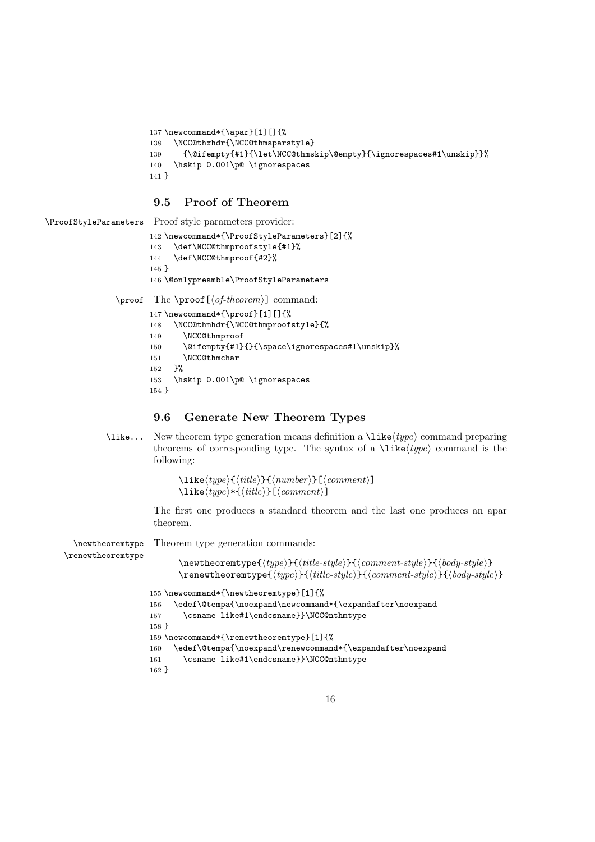```
137 \newcommand*{\apar}[1][]{%
138 \NCC@thxhdr{\NCC@thmaparstyle}
139 {\@ifempty{#1}{\let\NCC@thmskip\@empty}{\ignorespaces#1\unskip}}%
140 \hskip 0.001\p@ \ignorespaces
141 }
```
### 9.5 Proof of Theorem

```
\ProofStyleParameters Proof style parameters provider:
                      142 \newcommand*{\ProofStyleParameters}[2]{%
                      143 \def\NCC@thmproofstyle{#1}%
                      144 \def\NCC@thmproof{#2}%
                      145 }
                      146 \@onlypreamble\ProofStyleParameters
               \proof The \proof [\langle of-theorem \rangle] command:
                      147 \newcommand*{\proof}[1][]{%
                      148 \NCC@thmhdr{\NCC@thmproofstyle}{%
                      149 \NCC@thmproof
                      150 \@ifempty{#1}{}{\space\ignorespaces#1\unskip}%
                      151 \NCC@thmchar
                      152 }%
                      153 \hskip 0.001\p@ \ignorespaces
```
154 }

#### 9.6 Generate New Theorem Types

\like... New theorem type generation means definition a  $\text{like}(type)$  command preparing theorems of corresponding type. The syntax of a  $\text{like}(type)$  command is the following:

```
\langle type\rangle{\{\langle title\rangle\}}{\langle number\rangle}[\langle comment\rangle]\langle type\rangle*\{\langle title\rangle\}[\langle comment\rangle]
```
The first one produces a standard theorem and the last one produces an apar theorem.

\newtheoremtype

Theorem type generation commands:

\renewtheoremtype

 $\newph{\texttt{type}}{\texttt{type}}{\texttt{time-style}}{\texttt{comp}}$ 

```
\verb|\renewtheoremtype{|\type\rangle}{\ttilte-style\rbrace}{\cooment-style}\{\text{body-style}\}155 \newcommand*{\newtheoremtype}[1]{%
```

```
156 \edef\@tempa{\noexpand\newcommand*{\expandafter\noexpand
157 \csname like#1\endcsname}}\NCC@nthmtype
158 }
159 \newcommand*{\renewtheoremtype}[1]{%
160 \edef\@tempa{\noexpand\renewcommand*{\expandafter\noexpand
161 \csname like#1\endcsname}}\NCC@nthmtype
162 }
```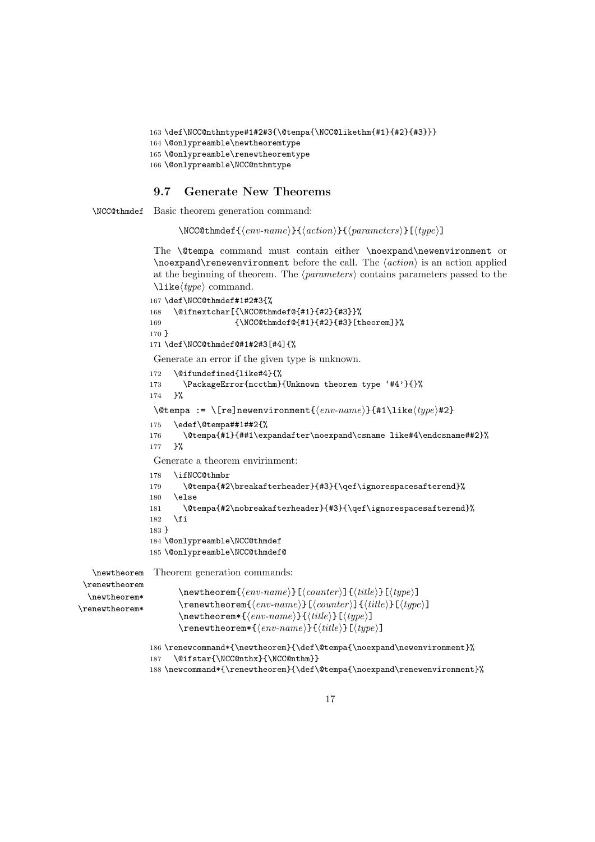```
163 \def\NCC@nthmtype#1#2#3{\@tempa{\NCC@likethm{#1}{#2}{#3}}}
164 \@onlypreamble\newtheoremtype
165 \@onlypreamble\renewtheoremtype
166 \@onlypreamble\NCC@nthmtype
```
### 9.7 Generate New Theorems

\NCC@thmdef Basic theorem generation command:

 $\NCC@thmdef{\env-name}\} {\avcommand{\varphi}{\varphi}}$ 

The \@tempa command must contain either \noexpand\newenvironment or  $\no$ renewenvironment before the call. The  $\langle action \rangle$  is an action applied at the beginning of theorem. The  $\langle parameters \rangle$  contains parameters passed to the  $\langle\text{like}(type\rangle)$  command.

```
167 \def\NCC@thmdef#1#2#3{%
                168 \@ifnextchar[{\NCC@thmdef@{#1}{#2}{#3}}%
                169 {\NCC@thmdef@{#1}{#2}{#3}[theorem]}\%170 }
                171 \def\NCC@thmdef@#1#2#3[#4]{%
                 Generate an error if the given type is unknown.
                172 \@ifundefined{like#4}{%
                173 \PackageError{nccthm}{Unknown theorem type '#4'}{}%
                174 }%
                 \@tempa := \[re]newenvironment{\langle env\text{-}name \rangle}{#1\like\langle type \rangle#2}
                175 \edef\@tempa##1##2{%
                176 \@tempa{#1}{##1\expandafter\noexpand\csname like#4\endcsname##2}%
                177 }%
                 Generate a theorem envirinment:
                178 \ifNCC@thmbr
                179 \@tempa{#2\breakafterheader}{#3}{\qef\ignorespacesafterend}%
                180 \else
                181 \@tempa{#2\nobreakafterheader}{#3}{\qef\ignorespacesafterend}%
                182 \fi
                183 }
                184 \@onlypreamble\NCC@thmdef
                185 \@onlypreamble\NCC@thmdef@
   \newtheorem
Theorem generation commands:
 \renewtheorem
  \newtheorem*
\renewtheorem*
                       \mathcal{\langle env\text{-}name \rangle}[\langle counter \rangle]\{\langle title \rangle\}[\langle type \rangle]\verb|\renewtheorem{<|env-name\rangle}[{\lbrace counter\rangle]{\lbrace title\rangle}[{\lbrace type\rangle}]\newtheorem*{\env-name}{\title}{}{title}{}\text{temperature}(env-name)}{(title)}[(type)]
                186 \renewcommand*{\newtheorem}{\def\@tempa{\noexpand\newenvironment}%
                187 \@ifstar{\NCC@nthx}{\NCC@nthm}}
```

```
188 \newcommand*{\renewtheorem}{\def\@tempa{\noexpand\renewenvironment}%
```